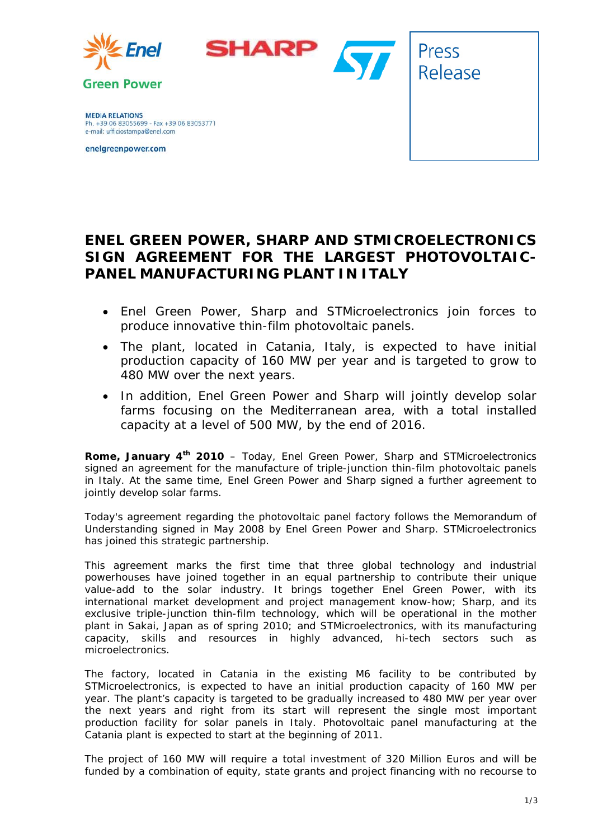





**MEDIA RELATIONS** Ph. +39 06 83055699 - Fax +39 06 83053771 e-mail: ufficiostampa@enel.com

enelgreenpower.com

# **ENEL GREEN POWER, SHARP AND STMICROELECTRONICS SIGN AGREEMENT FOR THE LARGEST PHOTOVOLTAIC-PANEL MANUFACTURING PLANT IN ITALY**

- *Enel Green Power, Sharp and STMicroelectronics join forces to produce innovative thin-film photovoltaic panels.*
- *The plant, located in Catania, Italy, is expected to have initial production capacity of 160 MW per year and is targeted to grow to 480 MW over the next years.*
- *In addition, Enel Green Power and Sharp will jointly develop solar farms focusing on the Mediterranean area, with a total installed capacity at a level of 500 MW, by the end of 2016.*

**Rome, January 4<sup>th</sup> 2010** – Today, Enel Green Power, Sharp and STMicroelectronics signed an agreement for the manufacture of triple-junction thin-film photovoltaic panels in Italy. At the same time, Enel Green Power and Sharp signed a further agreement to jointly develop solar farms.

Today's agreement regarding the photovoltaic panel factory follows the Memorandum of Understanding signed in May 2008 by Enel Green Power and Sharp. STMicroelectronics has joined this strategic partnership.

This agreement marks the first time that three global technology and industrial powerhouses have joined together in an equal partnership to contribute their unique value-add to the solar industry. It brings together Enel Green Power, with its international market development and project management know-how; Sharp, and its exclusive triple-junction thin-film technology, which will be operational in the mother plant in Sakai, Japan as of spring 2010; and STMicroelectronics, with its manufacturing capacity, skills and resources in highly advanced, hi-tech sectors such as microelectronics.

The factory, located in Catania in the existing M6 facility to be contributed by STMicroelectronics, is expected to have an initial production capacity of 160 MW per year. The plant's capacity is targeted to be gradually increased to 480 MW per year over the next years and right from its start will represent the single most important production facility for solar panels in Italy. Photovoltaic panel manufacturing at the Catania plant is expected to start at the beginning of 2011.

The project of 160 MW will require a total investment of 320 Million Euros and will be funded by a combination of equity, state grants and project financing with no recourse to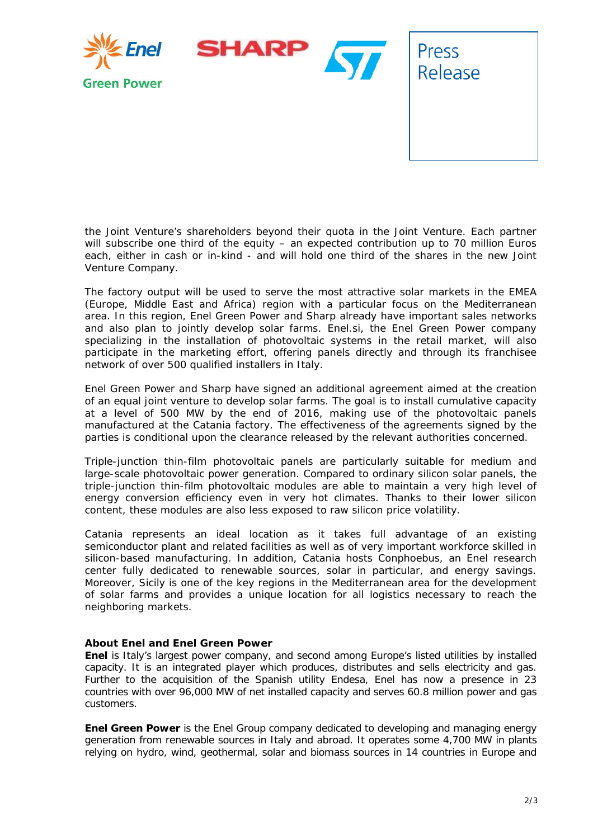

the Joint Venture's shareholders beyond their quota in the Joint Venture. Each partner will subscribe one third of the equity – an expected contribution up to 70 million Euros each, either in cash or in-kind - and will hold one third of the shares in the new Joint Venture Company.

The factory output will be used to serve the most attractive solar markets in the EMEA (Europe, Middle East and Africa) region with a particular focus on the Mediterranean area. In this region, Enel Green Power and Sharp already have important sales networks and also plan to jointly develop solar farms. Enel.si, the Enel Green Power company specializing in the installation of photovoltaic systems in the retail market, will also participate in the marketing effort, offering panels directly and through its franchisee network of over 500 qualified installers in Italy.

Enel Green Power and Sharp have signed an additional agreement aimed at the creation of an equal joint venture to develop solar farms. The goal is to install cumulative capacity at a level of 500 MW by the end of 2016, making use of the photovoltaic panels manufactured at the Catania factory. The effectiveness of the agreements signed by the parties is conditional upon the clearance released by the relevant authorities concerned.

Triple-junction thin-film photovoltaic panels are particularly suitable for medium and large-scale photovoltaic power generation. Compared to ordinary silicon solar panels, the triple-junction thin-film photovoltaic modules are able to maintain a very high level of energy conversion efficiency even in very hot climates. Thanks to their lower silicon content, these modules are also less exposed to raw silicon price volatility.

Catania represents an ideal location as it takes full advantage of an existing semiconductor plant and related facilities as well as of very important workforce skilled in silicon-based manufacturing. In addition, Catania hosts Conphoebus, an Enel research center fully dedicated to renewable sources, solar in particular, and energy savings. Moreover, Sicily is one of the key regions in the Mediterranean area for the development of solar farms and provides a unique location for all logistics necessary to reach the neighboring markets.

## **About Enel and Enel Green Power**

**Enel** is Italy's largest power company, and second among Europe's listed utilities by installed capacity. It is an integrated player which produces, distributes and sells electricity and gas. Further to the acquisition of the Spanish utility Endesa, Enel has now a presence in 23 countries with over 96,000 MW of net installed capacity and serves 60.8 million power and gas customers.

**Enel Green Power** is the Enel Group company dedicated to developing and managing energy generation from renewable sources in Italy and abroad. It operates some 4,700 MW in plants relying on hydro, wind, geothermal, solar and biomass sources in 14 countries in Europe and